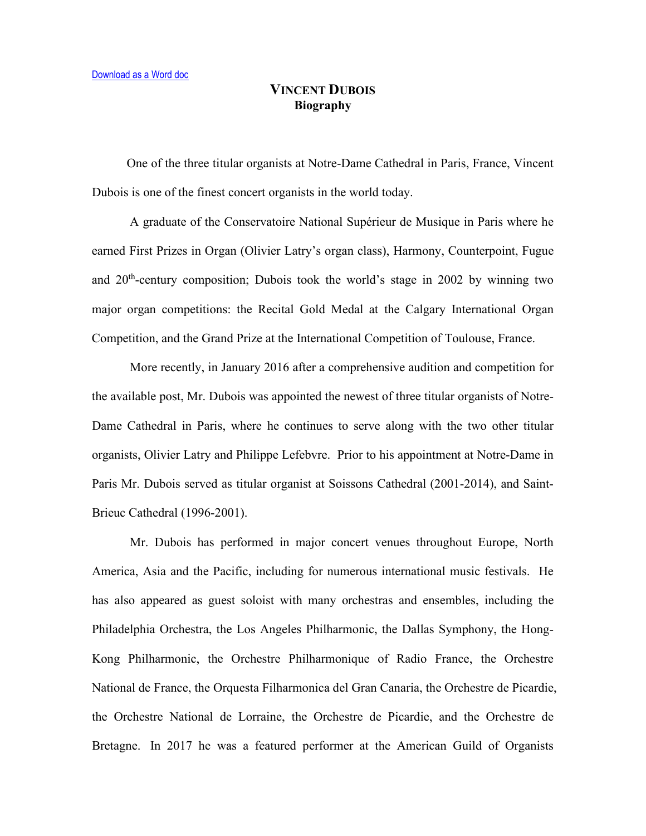## **VINCENT DUBOIS Biography**

One of the three titular organists at Notre-Dame Cathedral in Paris, France, Vincent Dubois is one of the finest concert organists in the world today.

A graduate of the Conservatoire National Supérieur de Musique in Paris where he earned First Prizes in Organ (Olivier Latry's organ class), Harmony, Counterpoint, Fugue and 20th-century composition; Dubois took the world's stage in 2002 by winning two major organ competitions: the Recital Gold Medal at the Calgary International Organ Competition, and the Grand Prize at the International Competition of Toulouse, France.

More recently, in January 2016 after a comprehensive audition and competition for the available post, Mr. Dubois was appointed the newest of three titular organists of Notre-Dame Cathedral in Paris, where he continues to serve along with the two other titular organists, Olivier Latry and Philippe Lefebvre. Prior to his appointment at Notre-Dame in Paris Mr. Dubois served as titular organist at Soissons Cathedral (2001-2014), and Saint-Brieuc Cathedral (1996-2001).

Mr. Dubois has performed in major concert venues throughout Europe, North America, Asia and the Pacific, including for numerous international music festivals. He has also appeared as guest soloist with many orchestras and ensembles, including the Philadelphia Orchestra, the Los Angeles Philharmonic, the Dallas Symphony, the Hong-Kong Philharmonic, the Orchestre Philharmonique of Radio France, the Orchestre National de France, the Orquesta Filharmonica del Gran Canaria, the Orchestre de Picardie, the Orchestre National de Lorraine, the Orchestre de Picardie, and the Orchestre de Bretagne. In 2017 he was a featured performer at the American Guild of Organists